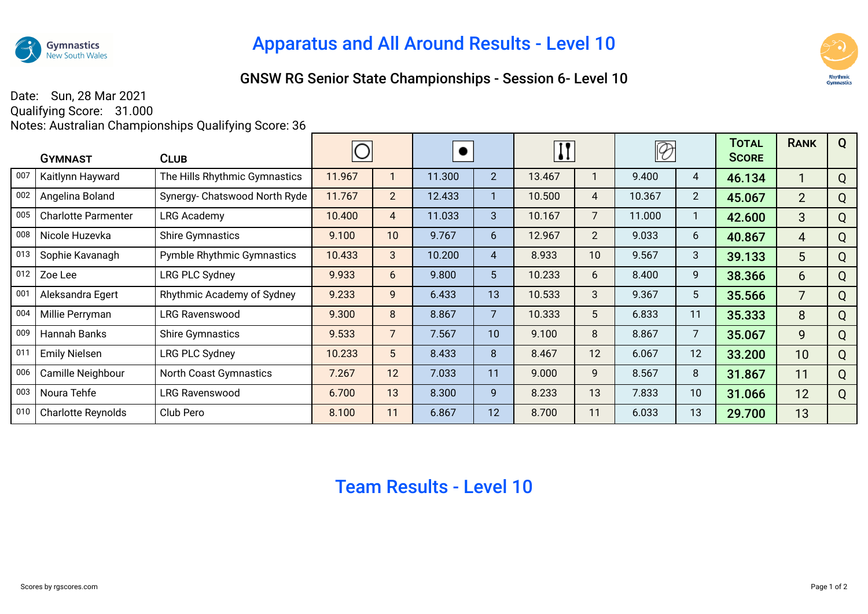

## Apparatus and All Around Results - Level 10

## GNSW RG Senior State Championships - Session 6- Level 10



Date: Sun, 28 Mar 2021

Qualifying Score: 31.000 Notes: Australian Championships Qualifying Score: 36

| <b>GYMNAST</b> |                            | <b>CLUB</b>                       |        |                |        |                 | $\mathbf{I}$ |                |        |                | TOTAL<br><b>SCORE</b> | <b>RANK</b>     | Q |
|----------------|----------------------------|-----------------------------------|--------|----------------|--------|-----------------|--------------|----------------|--------|----------------|-----------------------|-----------------|---|
| 007            | Kaitlynn Hayward           | The Hills Rhythmic Gymnastics     | 11.967 |                | 11.300 | $\overline{2}$  | 13.467       | 1              | 9.400  | 4              | 46.134                |                 | Q |
| 002            | Angelina Boland            | Synergy- Chatswood North Ryde     | 11.767 | $\overline{2}$ | 12.433 |                 | 10.500       | 4              | 10.367 | $\overline{2}$ | 45.067                | $\overline{2}$  | Q |
| 005            | <b>Charlotte Parmenter</b> | LRG Academy                       | 10.400 | 4              | 11.033 | 3               | 10.167       | 7              | 11.000 | 1              | 42.600                | 3               | Q |
| 008            | Nicole Huzevka             | <b>Shire Gymnastics</b>           | 9.100  | 10             | 9.767  | 6               | 12.967       | $\overline{2}$ | 9.033  | 6              | 40.867                | 4               | Q |
| 013            | Sophie Kavanagh            | <b>Pymble Rhythmic Gymnastics</b> | 10.433 | 3              | 10.200 | $\overline{4}$  | 8.933        | 10             | 9.567  | 3              | 39.133                | 5               | Q |
| 012            | Zoe Lee                    | LRG PLC Sydney                    | 9.933  | 6              | 9.800  | $5\phantom{.0}$ | 10.233       | 6              | 8.400  | 9              | 38.366                | $6\overline{6}$ | Q |
| 001            | Aleksandra Egert           | Rhythmic Academy of Sydney        | 9.233  | 9              | 6.433  | 13              | 10.533       | 3              | 9.367  | 5              | 35.566                | $\overline{7}$  | Q |
| 004            | Millie Perryman            | <b>LRG Ravenswood</b>             | 9.300  | 8              | 8.867  | 7               | 10.333       | 5              | 6.833  | 11             | 35.333                | 8               | Q |
| 009            | Hannah Banks               | <b>Shire Gymnastics</b>           | 9.533  | $\overline{7}$ | 7.567  | 10              | 9.100        | 8              | 8.867  | $\overline{7}$ | 35.067                | 9               | Q |
| 011            | <b>Emily Nielsen</b>       | <b>LRG PLC Sydney</b>             | 10.233 | 5              | 8.433  | 8               | 8.467        | 12             | 6.067  | 12             | 33.200                | 10              | Q |
| 006            | Camille Neighbour          | <b>North Coast Gymnastics</b>     | 7.267  | 12             | 7.033  | 11              | 9.000        | 9              | 8.567  | 8              | 31.867                | 11              | Q |
| 003            | Noura Tehfe                | <b>LRG Ravenswood</b>             | 6.700  | 13             | 8.300  | $\overline{9}$  | 8.233        | 13             | 7.833  | 10             | 31.066                | 12              | Q |
| 010            | <b>Charlotte Reynolds</b>  | Club Pero                         | 8.100  | 11             | 6.867  | 12              | 8.700        | 11             | 6.033  | 13             | 29.700                | 13              |   |

## Team Results - Level 10